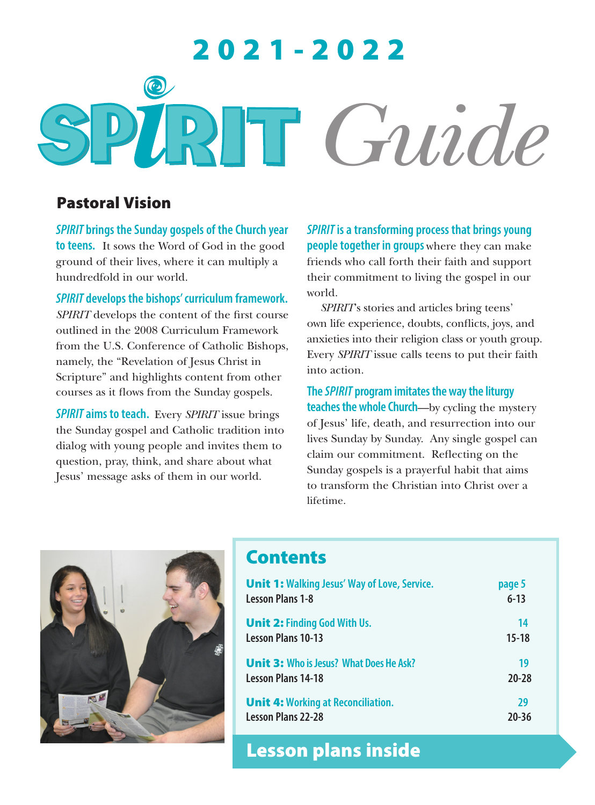# 2021-2022  $\odot$ *Guide*

# Pastoral Vision

*SPIRIT* **brings the Sunday gospels of the Church year to teens.** It sows the Word of God in the good ground of their lives, where it can multiply a hundredfold in our world.

*SPIRIT* **develops the bishops' curriculum framework.**  *SPIRIT* develops the content of the first course outlined in the 2008 Curriculum Framework from the U.S. Conference of Catholic Bishops, namely, the "Revelation of Jesus Christ in Scripture" and highlights content from other courses as it flows from the Sunday gospels.

*SPIRIT* **aims to teach.** Every *SPIRIT* issue brings the Sunday gospel and Catholic tradition into dialog with young people and invites them to question, pray, think, and share about what Jesus' message asks of them in our world.

*SPIRIT* **is a transforming process that brings young people together in groups** where they can make friends who call forth their faith and support their commitment to living the gospel in our world.

*SPIRIT*'s stories and articles bring teens' own life experience, doubts, conflicts, joys, and anxieties into their religion class or youth group. Every *SPIRIT* issue calls teens to put their faith into action.

**The** *SPIRIT* **program imitates the way the liturgy teaches the whole Church**—by cycling the mystery of Jesus' life, death, and resurrection into our lives Sunday by Sunday. Any single gospel can claim our commitment. Reflecting on the Sunday gospels is a prayerful habit that aims to transform the Christian into Christ over a lifetime.



# **Contents**

| <b>Unit 1: Walking Jesus' Way of Love, Service.</b> | page 5    |
|-----------------------------------------------------|-----------|
| <b>Lesson Plans 1-8</b>                             | $6 - 13$  |
| <b>Unit 2: Finding God With Us.</b>                 | 14        |
| <b>Lesson Plans 10-13</b>                           | $15 - 18$ |
| <b>Unit 3: Who is Jesus? What Does He Ask?</b>      | 19        |
| <b>Lesson Plans 14-18</b>                           | $20 - 28$ |
| <b>Unit 4: Working at Reconciliation.</b>           | 29        |
| <b>Lesson Plans 22-28</b>                           | $20 - 36$ |

Lesson plans inside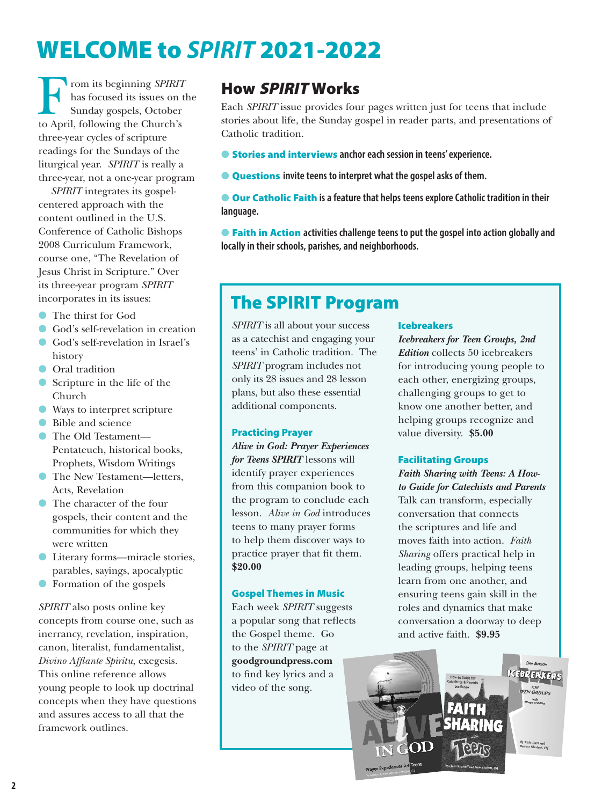# WELCOME to *SPIRIT* 2021-2022

From its beginning *SPIRIT*<br>has focused its issues on t<br>Sunday gospels, October<br>to April. following the Church's has focused its issues on the Sunday gospels, October to April, following the Church's three-year cycles of scripture readings for the Sundays of the liturgical year. *SPIRIT* is really a three-year, not a one-year program

*SPIRIT* integrates its gospelcentered approach with the content outlined in the U.S. Conference of Catholic Bishops 2008 Curriculum Framework, course one, "The Revelation of Jesus Christ in Scripture." Over its three-year program *SPIRIT* incorporates in its issues:

- **l** The thirst for God
- **C** God's self-revelation in creation
- l God's self-revelation in Israel's history
- **O** Oral tradition
- l Scripture in the life of the Church
- l Ways to interpret scripture
- **Bible and science**
- The Old Testament— Pentateuch, historical books, Prophets, Wisdom Writings
- **IF The New Testament—letters,** Acts, Revelation
- l The character of the four gospels, their content and the communities for which they were written
- l Literary forms—miracle stories, parables, sayings, apocalyptic
- **C** Formation of the gospels

*SPIRIT* also posts online key concepts from course one, such as inerrancy, revelation, inspiration, canon, literalist, fundamentalist, *Divino Afflante Spiritu*, exegesis. This online reference allows young people to look up doctrinal concepts when they have questions and assures access to all that the framework outlines.

# How SPIRIT Works

Each *SPIRIT* issue provides four pages written just for teens that include stories about life, the Sunday gospel in reader parts, and presentations of Catholic tradition.

- **Stories and interviews anchor each session in teens' experience.**
- **Example 2 Cuestions** invite teens to interpret what the gospel asks of them.

**Our Catholic Faith** is a feature that helps teens explore Catholic tradition in their **language.**

**• Faith in Action** activities challenge teens to put the gospel into action globally and **locally in their schools, parishes, and neighborhoods.**

# The SPIRIT Program

*SPIRIT* is all about your success as a catechist and engaging your teens' in Catholic tradition. The *SPIRIT* program includes not only its 28 issues and 28 lesson plans, but also these essential additional components.

#### Practicing Prayer

*Alive in God: Prayer Experiences for Teens SPIRIT* lessons will identify prayer experiences from this companion book to the program to conclude each lesson. *Alive in God* introduces teens to many prayer forms to help them discover ways to practice prayer that fit them. **\$20.00**

#### Gospel Themes in Music

Each week *SPIRIT* suggests a popular song that reflects the Gospel theme. Go to the *SPIRIT* page at **goodgroundpress.com** to find key lyrics and a video of the song.

#### Icebreakers

*Icebreakers for Teen Groups, 2nd Edition* collects 50 icebreakers for introducing young people to each other, energizing groups, challenging groups to get to know one another better, and helping groups recognize and value diversity. **\$5.00**

#### Facilitating Groups

*Faith Sharing with Teens: A Howto Guide for Catechists and Parents* Talk can transform, especially conversation that connects the scriptures and life and moves faith into action. *Faith Sharing* offers practical help in leading groups, helping teens learn from one another, and ensuring teens gain skill in the roles and dynamics that make conversation a doorway to deep and active faith. **\$9.95**

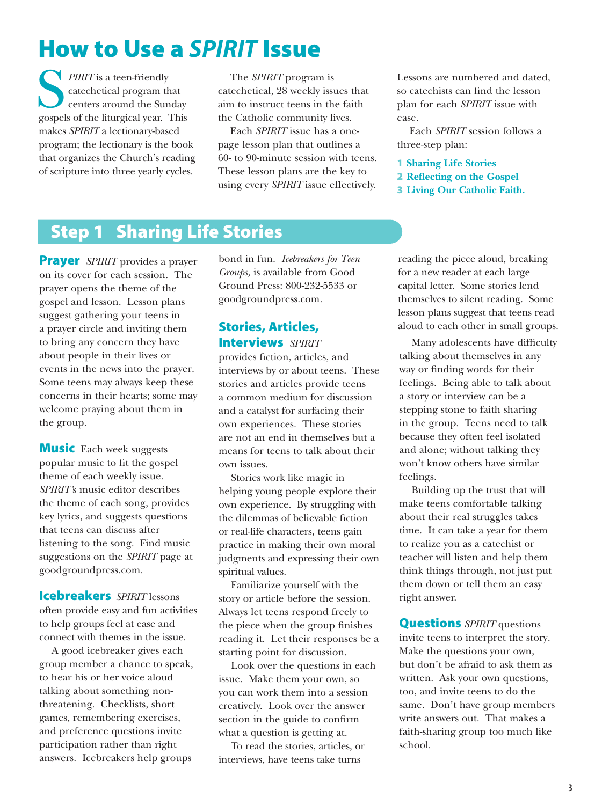# How to Use a *SPIRIT* Issue

**PIRIT** is a teen-friendly catechetical program that centers around the Sunday gospels of the liturgical year. This makes *SPIRIT* a lectionary-based program; the lectionary is the book that organizes the Church's reading of scripture into three yearly cycles.

The *SPIRIT* program is catechetical, 28 weekly issues that aim to instruct teens in the faith the Catholic community lives.

Each *SPIRIT* issue has a onepage lesson plan that outlines a 60- to 90-minute session with teens. These lesson plans are the key to using every *SPIRIT* issue effectively.

Lessons are numbered and dated, so catechists can find the lesson plan for each *SPIRIT* issue with ease.

Each *SPIRIT* session follows a three-step plan:

1 **Sharing Life Stories**

- 2 **Reflecting on the Gospel**
- 3 **Living Our Catholic Faith.**

# Step 1 Sharing Life Stories

**Prayer** *SPIRIT* provides a prayer on its cover for each session. The prayer opens the theme of the gospel and lesson. Lesson plans suggest gathering your teens in a prayer circle and inviting them to bring any concern they have about people in their lives or events in the news into the prayer. Some teens may always keep these concerns in their hearts; some may welcome praying about them in the group.

**Music** Each week suggests popular music to fit the gospel theme of each weekly issue. *SPIRIT'*s music editor describes the theme of each song, provides key lyrics, and suggests questions that teens can discuss after listening to the song. Find music suggestions on the *SPIRIT* page at goodgroundpress.com.

Icebreakers *SPIRIT* lessons often provide easy and fun activities to help groups feel at ease and connect with themes in the issue.

A good icebreaker gives each group member a chance to speak, to hear his or her voice aloud talking about something nonthreatening. Checklists, short games, remembering exercises, and preference questions invite participation rather than right answers. Icebreakers help groups

bond in fun. *Icebreakers for Teen Groups,* is available from Good Ground Press: 800-232-5533 or goodgroundpress.com.

#### Stories, Articles, Interviews *SPIRIT*

provides fiction, articles, and interviews by or about teens. These stories and articles provide teens a common medium for discussion and a catalyst for surfacing their own experiences. These stories are not an end in themselves but a means for teens to talk about their own issues.

Stories work like magic in helping young people explore their own experience. By struggling with the dilemmas of believable fiction or real-life characters, teens gain practice in making their own moral judgments and expressing their own spiritual values.

Familiarize yourself with the story or article before the session. Always let teens respond freely to the piece when the group finishes reading it. Let their responses be a starting point for discussion.

Look over the questions in each issue. Make them your own, so you can work them into a session creatively. Look over the answer section in the guide to confirm what a question is getting at.

To read the stories, articles, or interviews, have teens take turns

reading the piece aloud, breaking for a new reader at each large capital letter. Some stories lend themselves to silent reading. Some lesson plans suggest that teens read aloud to each other in small groups.

Many adolescents have difficulty talking about themselves in any way or finding words for their feelings. Being able to talk about a story or interview can be a stepping stone to faith sharing in the group. Teens need to talk because they often feel isolated and alone; without talking they won't know others have similar feelings.

Building up the trust that will make teens comfortable talking about their real struggles takes time. It can take a year for them to realize you as a catechist or teacher will listen and help them think things through, not just put them down or tell them an easy right answer.

Questions *SPIRIT* questions invite teens to interpret the story. Make the questions your own, but don't be afraid to ask them as written. Ask your own questions, too, and invite teens to do the same. Don't have group members write answers out. That makes a faith-sharing group too much like school.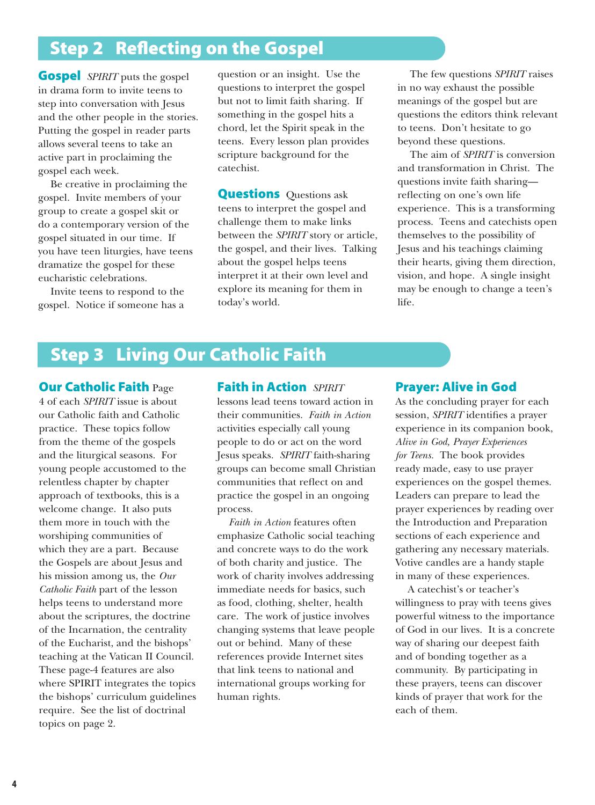# Step 2 Reflecting on the Gospel

**Gospel** *SPIRIT* puts the gospel in drama form to invite teens to step into conversation with Jesus and the other people in the stories. Putting the gospel in reader parts allows several teens to take an active part in proclaiming the gospel each week.

Be creative in proclaiming the gospel. Invite members of your group to create a gospel skit or do a contemporary version of the gospel situated in our time. If you have teen liturgies, have teens dramatize the gospel for these eucharistic celebrations.

Invite teens to respond to the gospel. Notice if someone has a

question or an insight. Use the questions to interpret the gospel but not to limit faith sharing. If something in the gospel hits a chord, let the Spirit speak in the teens. Every lesson plan provides scripture background for the catechist.

**Questions** Questions ask teens to interpret the gospel and challenge them to make links between the *SPIRIT* story or article, the gospel, and their lives. Talking about the gospel helps teens interpret it at their own level and explore its meaning for them in today's world.

The few questions *SPIRIT* raises in no way exhaust the possible meanings of the gospel but are questions the editors think relevant to teens. Don't hesitate to go beyond these questions.

The aim of *SPIRIT* is conversion and transformation in Christ. The questions invite faith sharing reflecting on one's own life experience. This is a transforming process. Teens and catechists open themselves to the possibility of Jesus and his teachings claiming their hearts, giving them direction, vision, and hope. A single insight may be enough to change a teen's life.

# Step 3 Living Our Catholic Faith

**Our Catholic Faith Page** 4 of each *SPIRIT* issue is about our Catholic faith and Catholic practice. These topics follow from the theme of the gospels and the liturgical seasons. For young people accustomed to the relentless chapter by chapter approach of textbooks, this is a welcome change. It also puts them more in touch with the worshiping communities of which they are a part. Because the Gospels are about Jesus and his mission among us, the *Our Catholic Faith* part of the lesson helps teens to understand more about the scriptures, the doctrine of the Incarnation, the centrality of the Eucharist, and the bishops' teaching at the Vatican II Council. These page-4 features are also where SPIRIT integrates the topics the bishops' curriculum guidelines require. See the list of doctrinal topics on page 2.

#### Faith in Action *SPIRIT*

lessons lead teens toward action in their communities. *Faith in Action* activities especially call young people to do or act on the word Jesus speaks. *SPIRIT* faith-sharing groups can become small Christian communities that reflect on and practice the gospel in an ongoing process.

 *Faith in Action* features often emphasize Catholic social teaching and concrete ways to do the work of both charity and justice. The work of charity involves addressing immediate needs for basics, such as food, clothing, shelter, health care. The work of justice involves changing systems that leave people out or behind. Many of these references provide Internet sites that link teens to national and international groups working for human rights.

#### Prayer: Alive in God

As the concluding prayer for each session, *SPIRIT* identifies a prayer experience in its companion book, *Alive in God, Prayer Experiences for Teens.* The book provides ready made, easy to use prayer experiences on the gospel themes. Leaders can prepare to lead the prayer experiences by reading over the Introduction and Preparation sections of each experience and gathering any necessary materials. Votive candles are a handy staple in many of these experiences.

A catechist's or teacher's willingness to pray with teens gives powerful witness to the importance of God in our lives. It is a concrete way of sharing our deepest faith and of bonding together as a community. By participating in these prayers, teens can discover kinds of prayer that work for the each of them.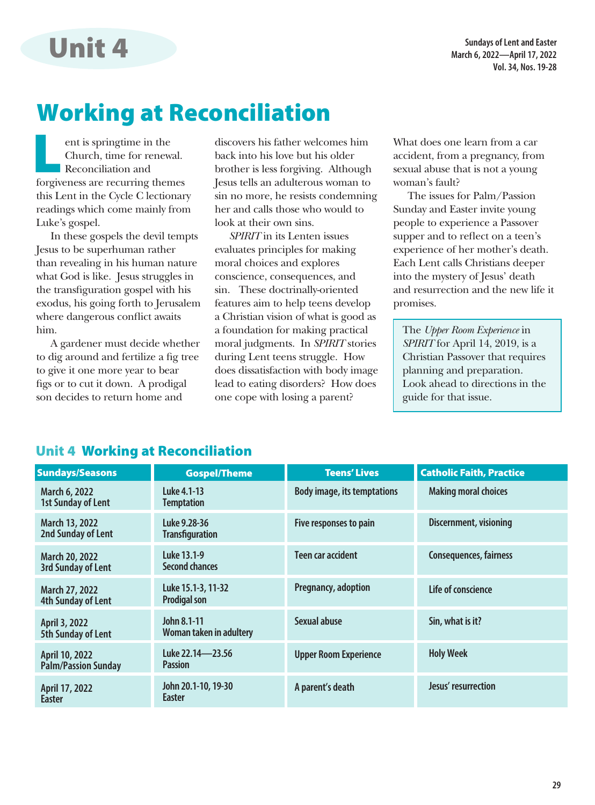**Sundays of Lent and Easter March 6, 2022—April 17, 2022 Vol. 34, Nos. 19-28**

# Working at Reconciliation

ent is springtime in the<br>Church, time for renewal<br>Reconciliation and<br>forgiveness are recurring them Church, time for renewal. **Reconciliation and** forgiveness are recurring themes this Lent in the Cycle C lectionary readings which come mainly from Luke's gospel.

Unit 4

In these gospels the devil tempts Jesus to be superhuman rather than revealing in his human nature what God is like. Jesus struggles in the transfiguration gospel with his exodus, his going forth to Jerusalem where dangerous conflict awaits him.

A gardener must decide whether to dig around and fertilize a fig tree to give it one more year to bear figs or to cut it down. A prodigal son decides to return home and

discovers his father welcomes him back into his love but his older brother is less forgiving. Although Jesus tells an adulterous woman to sin no more, he resists condemning her and calls those who would to look at their own sins.

*SPIRIT* in its Lenten issues evaluates principles for making moral choices and explores conscience, consequences, and sin. These doctrinally-oriented features aim to help teens develop a Christian vision of what is good as a foundation for making practical moral judgments. In *SPIRIT* stories during Lent teens struggle. How does dissatisfaction with body image lead to eating disorders? How does one cope with losing a parent?

What does one learn from a car accident, from a pregnancy, from sexual abuse that is not a young woman's fault?

The issues for Palm/Passion Sunday and Easter invite young people to experience a Passover supper and to reflect on a teen's experience of her mother's death. Each Lent calls Christians deeper into the mystery of Jesus' death and resurrection and the new life it promises.

The *Upper Room Experience* in *SPIRIT* for April 14, 2019, is a Christian Passover that requires planning and preparation. Look ahead to directions in the guide for that issue.

#### Unit 4 Working at Reconciliation

| <b>Sundays/Seasons</b>                             | <b>Gospel/Theme</b>                       | <b>Teens' Lives</b>                | <b>Catholic Faith, Practice</b> |
|----------------------------------------------------|-------------------------------------------|------------------------------------|---------------------------------|
| March 6, 2022<br><b>1st Sunday of Lent</b>         | Luke 4.1-13<br><b>Temptation</b>          | <b>Body image, its temptations</b> | <b>Making moral choices</b>     |
| March 13, 2022<br>2nd Sunday of Lent               | Luke 9.28-36<br><b>Transfiguration</b>    | Five responses to pain             | Discernment, visioning          |
| <b>March 20, 2022</b><br><b>3rd Sunday of Lent</b> | Luke 13.1-9<br>Second chances             | Teen car accident                  | <b>Consequences, fairness</b>   |
| March 27, 2022<br>4th Sunday of Lent               | Luke 15.1-3, 11-32<br><b>Prodigal son</b> | Pregnancy, adoption                | Life of conscience              |
| April 3, 2022<br>5th Sunday of Lent                | John 8.1-11<br>Woman taken in adultery    | Sexual abuse                       | Sin, what is it?                |
| April 10, 2022<br><b>Palm/Passion Sunday</b>       | Luke 22.14-23.56<br><b>Passion</b>        | <b>Upper Room Experience</b>       | <b>Holy Week</b>                |
| April 17, 2022<br><b>Easter</b>                    | John 20.1-10, 19-30<br>Easter             | A parent's death                   | Jesus' resurrection             |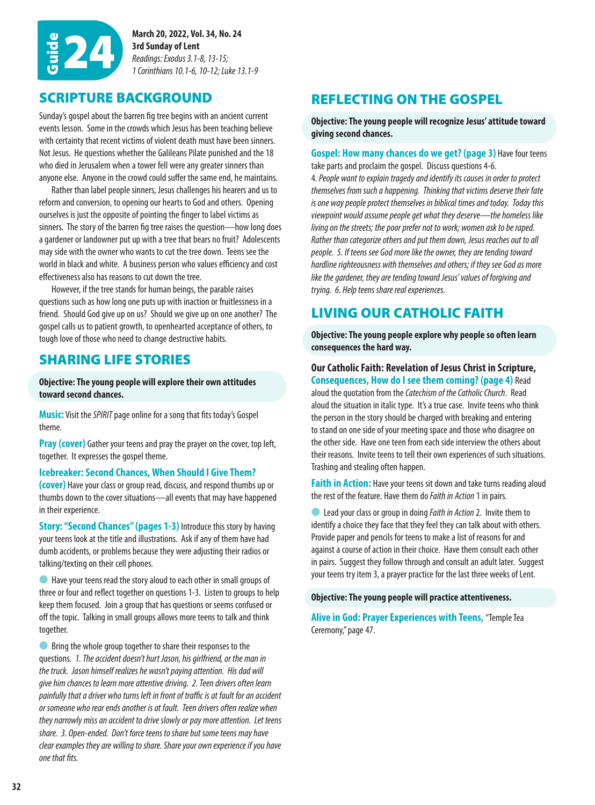

**March 20, 2022, Vol. 34, No. 24 3rd Sunday of Lent** *Readings: Exodus 3.1-8, 13-15;*  Guide 24 *1 Corinthians 10.1-6, 10-12; Luke 13.1-9*

#### SCRIPTURE BACKGROUND

Sunday's gospel about the barren fig tree begins with an ancient current events lesson. Some in the crowds which Jesus has been teaching believe with certainty that recent victims of violent death must have been sinners. Not Jesus. He questions whether the Galileans Pilate punished and the 18 who died in Jerusalem when a tower fell were any greater sinners than anyone else. Anyone in the crowd could suffer the same end, he maintains.

Rather than label people sinners, Jesus challenges his hearers and us to reform and conversion, to opening our hearts to God and others. Opening ourselves is just the opposite of pointing the finger to label victims as sinners. The story of the barren fig tree raises the question—how long does a gardener or landowner put up with a tree that bears no fruit? Adolescents may side with the owner who wants to cut the tree down. Teens see the world in black and white. A business person who values efficiency and cost effectiveness also has reasons to cut down the tree.

However, if the tree stands for human beings, the parable raises questions such as how long one puts up with inaction or fruitlessness in a friend. Should God give up on us? Should we give up on one another? The gospel calls us to patient growth, to openhearted acceptance of others, to tough love of those who need to change destructive habits.

#### SHARING LIFE STORIES

talking/texting on their cell phones.

**Objective: The young people will explore their own attitudes toward second chances.**

**Music:** Visit the *SPIRIT* page online for a song that fits today's Gospel theme.

**Pray (cover)** Gather your teens and pray the prayer on the cover, top left, together. It expresses the gospel theme.

**Icebreaker: Second Chances, When Should I Give Them? (cover)** Have your class or group read, discuss, and respond thumbs up or thumbs down to the cover situations—all events that may have happened

in their experience. **Story: "Second Chances" (pages 1-3) Introduce this story by having** your teens look at the title and illustrations. Ask if any of them have had dumb accidents, or problems because they were adjusting their radios or

**l** Have your teens read the story aloud to each other in small groups of three or four and reflect together on questions 1-3. Listen to groups to help keep them focused. Join a group that has questions or seems confused or off the topic. Talking in small groups allows more teens to talk and think together.

**C** Bring the whole group together to share their responses to the questions. *1. The accident doesn't hurt Jason, his girlfriend, or the man in the truck. Jason himself realizes he wasn't paying attention. His dad will give him chances to learn more attentive driving. 2. Teen drivers often learn painfully that a driver who turns left in front of traffic is at fault for an accident or someone who rear ends another is at fault. Teen drivers often realize when they narrowly miss an accident to drive slowly or pay more attention. Let teens share. 3. Open-ended. Don't force teens to share but some teens may have clear examples they are willing to share. Share your own experience if you have one that fits.*

## REFLECTING ON THE GOSPEL

**Objective: The young people will recognize Jesus' attitude toward giving second chances.**

#### **Gospel: How many chances do we get? (page 3)** Have four teens take parts and proclaim the gospel. Discuss questions 4-6.

4. *People want to explain tragedy and identify its causes in order to protect themselves from such a happening. Thinking that victims deserve their fate is one way people protect themselves in biblical times and today. Today this viewpoint would assume people get what they deserve—the homeless like living on the streets; the poor prefer not to work; women ask to be raped. Rather than categorize others and put them down, Jesus reaches out to all people. 5. If teens see God more like the owner, they are tending toward hardline righteousness with themselves and others; if they see God as more like the gardener, they are tending toward Jesus' values of forgiving and trying. 6. Help teens share real experiences.*

### LIVING OUR CATHOLIC FAITH

**Objective: The young people explore why people so often learn consequences the hard way.**

#### **Our Catholic Faith: Revelation of Jesus Christ in Scripture, Consequences, How do I see them coming? (page 4)** Read

aloud the quotation from the *Catechism of the Catholic Church*. Read aloud the situation in italic type. It's a true case. Invite teens who think the person in the story should be charged with breaking and entering to stand on one side of your meeting space and those who disagree on the other side. Have one teen from each side interview the others about their reasons. Invite teens to tell their own experiences of such situations. Trashing and stealing often happen.

**Faith in Action:** Have your teens sit down and take turns reading aloud the rest of the feature. Have them do *Faith in Action* 1 in pairs.

l Lead your class or group in doing *Faith in Action* 2. Invite them to identify a choice they face that they feel they can talk about with others. Provide paper and pencils for teens to make a list of reasons for and against a course of action in their choice. Have them consult each other in pairs. Suggest they follow through and consult an adult later. Suggest your teens try item 3, a prayer practice for the last three weeks of Lent.

**Objective: The young people will practice attentiveness.**

**Alive in God: Prayer Experiences with Teens,** "Temple Tea Ceremony," page 47.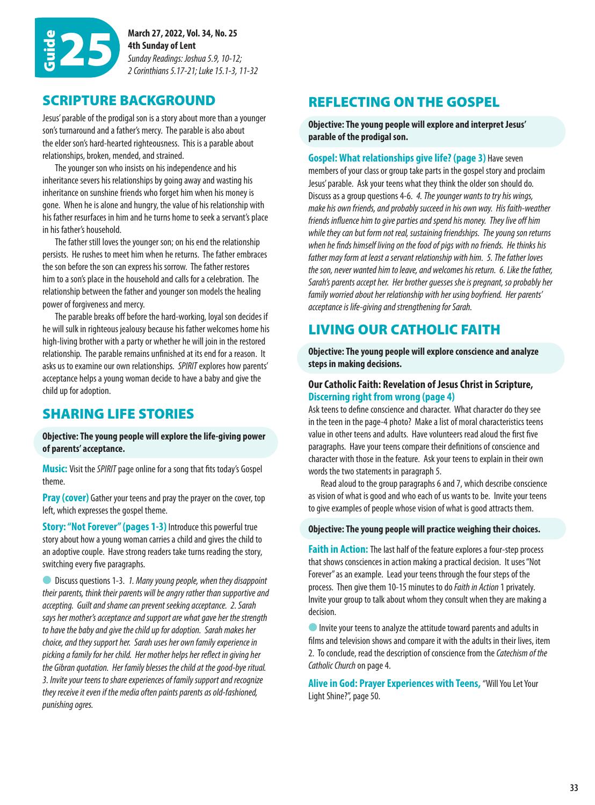

**March 27, 2022, Vol. 34, No. 25 4th Sunday of Lent** *Sunday Readings: Joshua 5.9, 10-12; 2 Corinthians 5.17-21; Luke 15.1-3, 11-32*

#### SCRIPTURE BACKGROUND

Jesus' parable of the prodigal son is a story about more than a younger son's turnaround and a father's mercy. The parable is also about the elder son's hard-hearted righteousness. This is a parable about relationships, broken, mended, and strained.

The younger son who insists on his independence and his inheritance severs his relationships by going away and wasting his inheritance on sunshine friends who forget him when his money is gone. When he is alone and hungry, the value of his relationship with his father resurfaces in him and he turns home to seek a servant's place in his father's household.

The father still loves the younger son; on his end the relationship persists. He rushes to meet him when he returns. The father embraces the son before the son can express his sorrow. The father restores him to a son's place in the household and calls for a celebration. The relationship between the father and younger son models the healing power of forgiveness and mercy.

The parable breaks off before the hard-working, loyal son decides if he will sulk in righteous jealousy because his father welcomes home his high-living brother with a party or whether he will join in the restored relationship. The parable remains unfinished at its end for a reason. It asks us to examine our own relationships. *SPIRIT* explores how parents' acceptance helps a young woman decide to have a baby and give the child up for adoption.

### SHARING LIFE STORIES

**Objective: The young people will explore the life-giving power of parents' acceptance.**

**Music:** Visit the *SPIRIT* page online for a song that fits today's Gospel theme.

**Pray (cover)** Gather your teens and pray the prayer on the cover, top left, which expresses the gospel theme.

**Story: "Not Forever" (pages 1-3)** Introduce this powerful true story about how a young woman carries a child and gives the child to an adoptive couple. Have strong readers take turns reading the story, switching every five paragraphs.

l Discuss questions 1-3. *1. Many young people, when they disappoint their parents, think their parents will be angry rather than supportive and accepting. Guilt and shame can prevent seeking acceptance. 2. Sarah says her mother's acceptance and support are what gave her the strength to have the baby and give the child up for adoption. Sarah makes her choice, and they support her. Sarah uses her own family experience in picking a family for her child. Her mother helps her reflect in giving her the Gibran quotation. Her family blesses the child at the good-bye ritual. 3. Invite your teens to share experiences of family support and recognize they receive it even if the media often paints parents as old-fashioned, punishing ogres.*

### REFLECTING ON THE GOSPEL

**Objective: The young people will explore and interpret Jesus' parable of the prodigal son.**

**Gospel: What relationships give life? (page 3)** Have seven members of your class or group take parts in the gospel story and proclaim Jesus' parable. Ask your teens what they think the older son should do. Discuss as a group questions 4-6. *4. The younger wants to try his wings, make his own friends, and probably succeed in his own way. His faith-weather friends influence him to give parties and spend his money. They live off him while they can but form not real, sustaining friendships. The young son returns when he finds himself living on the food of pigs with no friends. He thinks his father may form at least a servant relationship with him. 5. The father loves the son, never wanted him to leave, and welcomes his return. 6. Like the father, Sarah's parents accept her. Her brother guesses she is pregnant, so probably her family worried about her relationship with her using boyfriend. Her parents' acceptance is life-giving and strengthening for Sarah.*

#### LIVING OUR CATHOLIC FAITH

**Objective: The young people will explore conscience and analyze steps in making decisions.**

#### **Our Catholic Faith: Revelation of Jesus Christ in Scripture, Discerning right from wrong (page 4)**

Ask teens to define conscience and character. What character do they see in the teen in the page-4 photo? Make a list of moral characteristics teens value in other teens and adults. Have volunteers read aloud the first five paragraphs. Have your teens compare their definitions of conscience and character with those in the feature. Ask your teens to explain in their own words the two statements in paragraph 5.

Read aloud to the group paragraphs 6 and 7, which describe conscience as vision of what is good and who each of us wants to be. Invite your teens to give examples of people whose vision of what is good attracts them.

#### **Objective: The young people will practice weighing their choices.**

**Faith in Action:** The last half of the feature explores a four-step process that shows consciences in action making a practical decision. It uses "Not Forever" as an example. Lead your teens through the four steps of the process. Then give them 10-15 minutes to do *Faith in Action* 1 privately. Invite your group to talk about whom they consult when they are making a decision.

Invite your teens to analyze the attitude toward parents and adults in films and television shows and compare it with the adults in their lives, item 2. To conclude, read the description of conscience from the *Catechism of the Catholic Church* on page 4.

**Alive in God: Prayer Experiences with Teens,** "Will You Let Your Light Shine?", page 50.